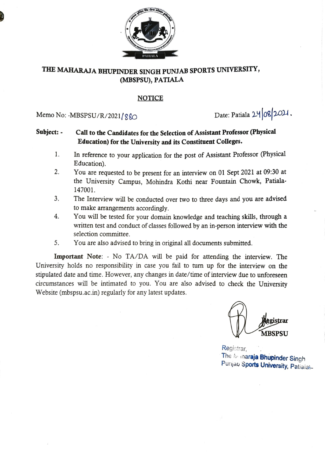

### THE MAHARAJA BHUPINDER SINGH PUNJAB SPORTS UNIVERSITY, (MBSPSU), PATIALA

#### NOTICE

Memo No: -MBSPSU/R/2021/880 Date: Patiala 24 08 2021.

### Subject: - Call to the Candidates for the Selection of Assistant Professor (Physical Education) for the University and its Constituent Colleges.

- In reference to your application for the post of Assistant Professor (Physical Education). 1.
- 2. You are requested to be present for an interview on 01 Sept 2021 at 09:30 at the University Campus, Mohindra Kothi near Fountain Chowk, Patiala-147001.
- 3. The Interview will be conducted over two to three days and you are advised to make arrangements accordingly.
- You will be tested for your domain knowledge and teaching skills, through a Written test and conduct of classes followed by an in-person interview with the 4. selection committee.
- 5. You are also advised to bring in original all documents submitted.

Important Note: - No TA/DA will be paid for attending the interview. The University holds no responsibility in case you fail to turn up for the interview on the stipulated date and time. However, any changes in date/time of interview due to unforeseen circumstances will be intimated to you. You are also advised to check the University Website (mbspsu.ac.in) regularly for any latest updates.

ristrar MBSPSU

Registrar,<br>The Manaraja Bhupinder Singh Punjab Sports University, Patiaiai-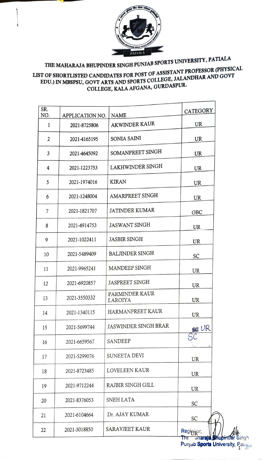

# TEE MAHARAJA BHUPINDER SINGH PUNJAB SPORTS UNIVERSITY, PATIALA

## LIST OF SHORTLISTED CANDIDATES FOR POST OF ASSISTANT PROFESSOR (PHYSICAL<br>EDITERMINE COMP EDU.) IN MBSPSU, GOVT ARTS AND SPORTS COLLEGE, JALANDHAR AND GOVT COLLEGE, KALA AFGANA, GURDASPUR.

| SR. |                 |                             | CATEGORY   |
|-----|-----------------|-----------------------------|------------|
| NO. | APPLICATION NO. | <b>NAME</b>                 |            |
| 1   | 2021-8725806    | <b>AKWINDER KAUR</b>        | UR         |
| 2   | 2021-4165195    | SONIA SAINI                 | UR         |
| 3   | 2021-4645092    | SOMANPREET SINGH            | UR         |
| 4   | 2021-1223753    | LAKHWINDER SINGH            | UR         |
| 5   | 2021-1974016    | <b>KIRAN</b>                | UR         |
| 6   | 2021-1248004    | AMARPREET SINGH             | UR         |
| 7   | 2021-1821707    | <b>JATINDER KUMAR</b>       | OBC        |
| 8   | 2021-4914753    | <b>JASWANT SINGH</b>        | UR         |
| 9   | 2021-1022411    | <b>JASBIR SINGH</b>         | UR         |
| 10  | 2021-5489409    | <b>BALJINDER SINGH</b>      | SC         |
| 11  | 2021-9965241    | MANDEEP SINGH               | <b>UR</b>  |
| 12  | 2021-6920857    | <b>JASPREET SINGH</b>       | UR         |
| 13  | 2021-3550332    | PARMINDER KAUR<br>LAROIYA   | UR         |
| 14  | 2021-1340115    | HARMANPREET KAUR            | UR         |
| 15  | 2021-5699744    | <b>JASWINDER SINGH BRAR</b> | SE UR      |
| 16  | 2021-6659567    | <b>SANDEEP</b>              |            |
| 17  | 2021-5299076    | SUNEETA DEVI                | UR         |
| 18  | 2021-8723485    | LOVELEEN KAUR               | UR         |
| 19  | 2021-9712244    | RAJBIR SINGH GILL           | UR         |
| 20  | 2021-8376053    | SNEH LATA                   | SC         |
| 21  | 2021-6104664    | Dr. AJAY KUMAR              | SC         |
| 22  | 2021-3018850    | SARAVJEET KAUR              | Registrar, |

Punjab S**ports Unive**rsity, Patia